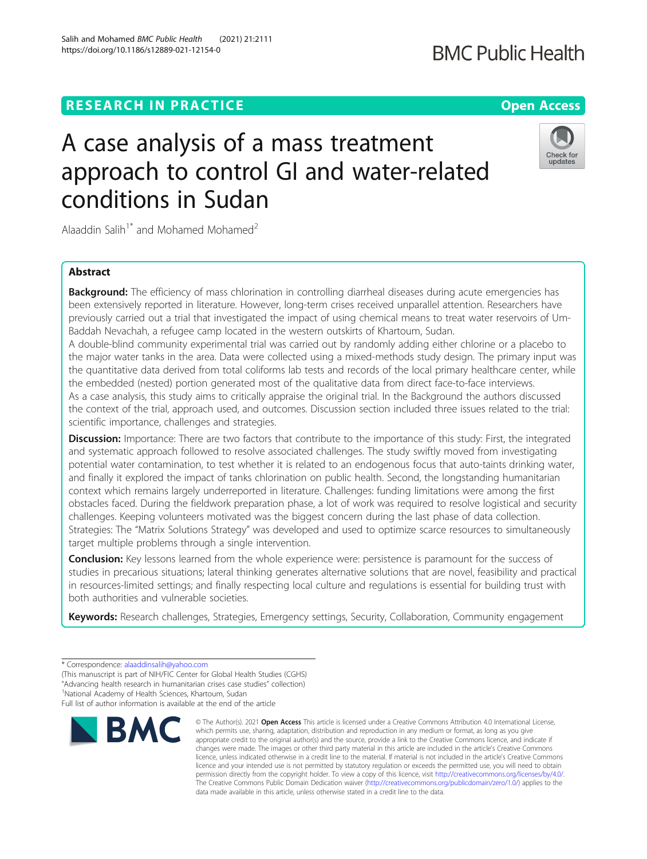# **RESEARCH IN PRACTICE CONSUMING THE OPEN ACCESS**

# A case analysis of a mass treatment approach to control GI and water-related conditions in Sudan

Alaaddin Salih<sup>1\*</sup> and Mohamed Mohamed<sup>2</sup>

# Abstract

**Background:** The efficiency of mass chlorination in controlling diarrheal diseases during acute emergencies has been extensively reported in literature. However, long-term crises received unparallel attention. Researchers have previously carried out a trial that investigated the impact of using chemical means to treat water reservoirs of Um-Baddah Nevachah, a refugee camp located in the western outskirts of Khartoum, Sudan.

A double-blind community experimental trial was carried out by randomly adding either chlorine or a placebo to the major water tanks in the area. Data were collected using a mixed-methods study design. The primary input was the quantitative data derived from total coliforms lab tests and records of the local primary healthcare center, while the embedded (nested) portion generated most of the qualitative data from direct face-to-face interviews. As a case analysis, this study aims to critically appraise the original trial. In the Background the authors discussed the context of the trial, approach used, and outcomes. Discussion section included three issues related to the trial: scientific importance, challenges and strategies.

Discussion: Importance: There are two factors that contribute to the importance of this study: First, the integrated and systematic approach followed to resolve associated challenges. The study swiftly moved from investigating potential water contamination, to test whether it is related to an endogenous focus that auto-taints drinking water, and finally it explored the impact of tanks chlorination on public health. Second, the longstanding humanitarian context which remains largely underreported in literature. Challenges: funding limitations were among the first obstacles faced. During the fieldwork preparation phase, a lot of work was required to resolve logistical and security challenges. Keeping volunteers motivated was the biggest concern during the last phase of data collection. Strategies: The "Matrix Solutions Strategy" was developed and used to optimize scarce resources to simultaneously target multiple problems through a single intervention.

**Conclusion:** Key lessons learned from the whole experience were: persistence is paramount for the success of studies in precarious situations; lateral thinking generates alternative solutions that are novel, feasibility and practical in resources-limited settings; and finally respecting local culture and regulations is essential for building trust with both authorities and vulnerable societies.

© The Author(s), 2021 **Open Access** This article is licensed under a Creative Commons Attribution 4.0 International License,

Keywords: Research challenges, Strategies, Emergency settings, Security, Collaboration, Community engagement

data made available in this article, unless otherwise stated in a credit line to the data.





updates

<sup>\*</sup> Correspondence: [alaaddinsalih@yahoo.com](mailto:alaaddinsalih@yahoo.com)

<sup>(</sup>This manuscript is part of NIH/FIC Center for Global Health Studies (CGHS)

<sup>&</sup>quot;Advancing health research in humanitarian crises case studies" collection) <sup>1</sup>

<sup>&</sup>lt;sup>1</sup>National Academy of Health Sciences, Khartoum, Sudan

Full list of author information is available at the end of the article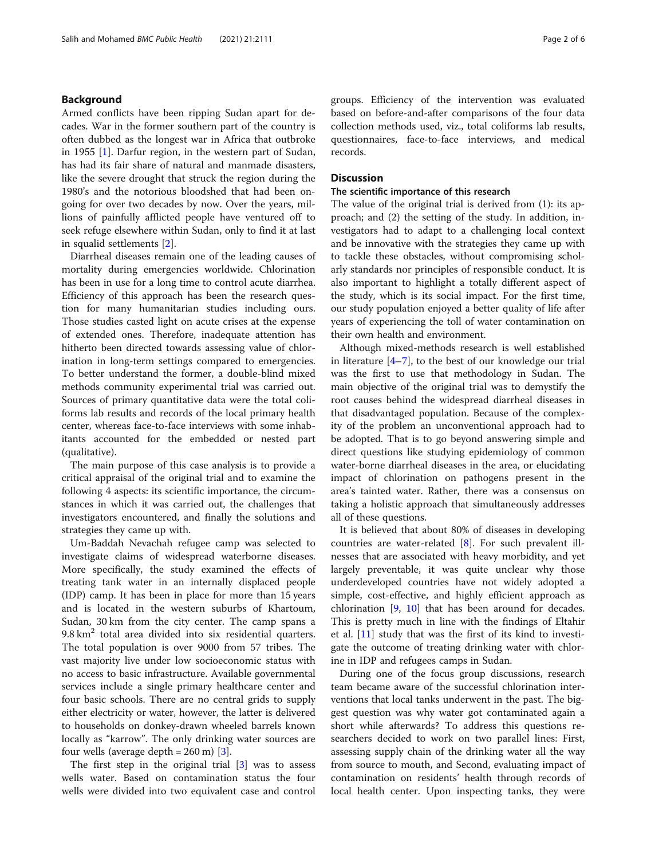#### Background

Armed conflicts have been ripping Sudan apart for decades. War in the former southern part of the country is often dubbed as the longest war in Africa that outbroke in 1955 [\[1](#page-4-0)]. Darfur region, in the western part of Sudan, has had its fair share of natural and manmade disasters, like the severe drought that struck the region during the 1980's and the notorious bloodshed that had been ongoing for over two decades by now. Over the years, millions of painfully afflicted people have ventured off to seek refuge elsewhere within Sudan, only to find it at last in squalid settlements [\[2](#page-4-0)].

Diarrheal diseases remain one of the leading causes of mortality during emergencies worldwide. Chlorination has been in use for a long time to control acute diarrhea. Efficiency of this approach has been the research question for many humanitarian studies including ours. Those studies casted light on acute crises at the expense of extended ones. Therefore, inadequate attention has hitherto been directed towards assessing value of chlorination in long-term settings compared to emergencies. To better understand the former, a double-blind mixed methods community experimental trial was carried out. Sources of primary quantitative data were the total coliforms lab results and records of the local primary health center, whereas face-to-face interviews with some inhabitants accounted for the embedded or nested part (qualitative).

The main purpose of this case analysis is to provide a critical appraisal of the original trial and to examine the following 4 aspects: its scientific importance, the circumstances in which it was carried out, the challenges that investigators encountered, and finally the solutions and strategies they came up with.

Um-Baddah Nevachah refugee camp was selected to investigate claims of widespread waterborne diseases. More specifically, the study examined the effects of treating tank water in an internally displaced people (IDP) camp. It has been in place for more than 15 years and is located in the western suburbs of Khartoum, Sudan, 30 km from the city center. The camp spans a  $9.8 \text{ km}^2$  total area divided into six residential quarters. The total population is over 9000 from 57 tribes. The vast majority live under low socioeconomic status with no access to basic infrastructure. Available governmental services include a single primary healthcare center and four basic schools. There are no central grids to supply either electricity or water, however, the latter is delivered to households on donkey-drawn wheeled barrels known locally as "karrow". The only drinking water sources are four wells (average depth  $= 260$  m) [\[3](#page-4-0)].

The first step in the original trial [\[3](#page-4-0)] was to assess wells water. Based on contamination status the four wells were divided into two equivalent case and control groups. Efficiency of the intervention was evaluated based on before-and-after comparisons of the four data collection methods used, viz., total coliforms lab results, questionnaires, face-to-face interviews, and medical records.

### **Discussion**

#### The scientific importance of this research

The value of the original trial is derived from (1): its approach; and (2) the setting of the study. In addition, investigators had to adapt to a challenging local context and be innovative with the strategies they came up with to tackle these obstacles, without compromising scholarly standards nor principles of responsible conduct. It is also important to highlight a totally different aspect of the study, which is its social impact. For the first time, our study population enjoyed a better quality of life after years of experiencing the toll of water contamination on their own health and environment.

Although mixed-methods research is well established in literature  $[4-7]$  $[4-7]$  $[4-7]$  $[4-7]$ , to the best of our knowledge our trial was the first to use that methodology in Sudan. The main objective of the original trial was to demystify the root causes behind the widespread diarrheal diseases in that disadvantaged population. Because of the complexity of the problem an unconventional approach had to be adopted. That is to go beyond answering simple and direct questions like studying epidemiology of common water-borne diarrheal diseases in the area, or elucidating impact of chlorination on pathogens present in the area's tainted water. Rather, there was a consensus on taking a holistic approach that simultaneously addresses all of these questions.

It is believed that about 80% of diseases in developing countries are water-related [[8\]](#page-4-0). For such prevalent illnesses that are associated with heavy morbidity, and yet largely preventable, it was quite unclear why those underdeveloped countries have not widely adopted a simple, cost-effective, and highly efficient approach as chlorination [\[9](#page-4-0), [10\]](#page-4-0) that has been around for decades. This is pretty much in line with the findings of Eltahir et al. [\[11\]](#page-4-0) study that was the first of its kind to investigate the outcome of treating drinking water with chlorine in IDP and refugees camps in Sudan.

During one of the focus group discussions, research team became aware of the successful chlorination interventions that local tanks underwent in the past. The biggest question was why water got contaminated again a short while afterwards? To address this questions researchers decided to work on two parallel lines: First, assessing supply chain of the drinking water all the way from source to mouth, and Second, evaluating impact of contamination on residents' health through records of local health center. Upon inspecting tanks, they were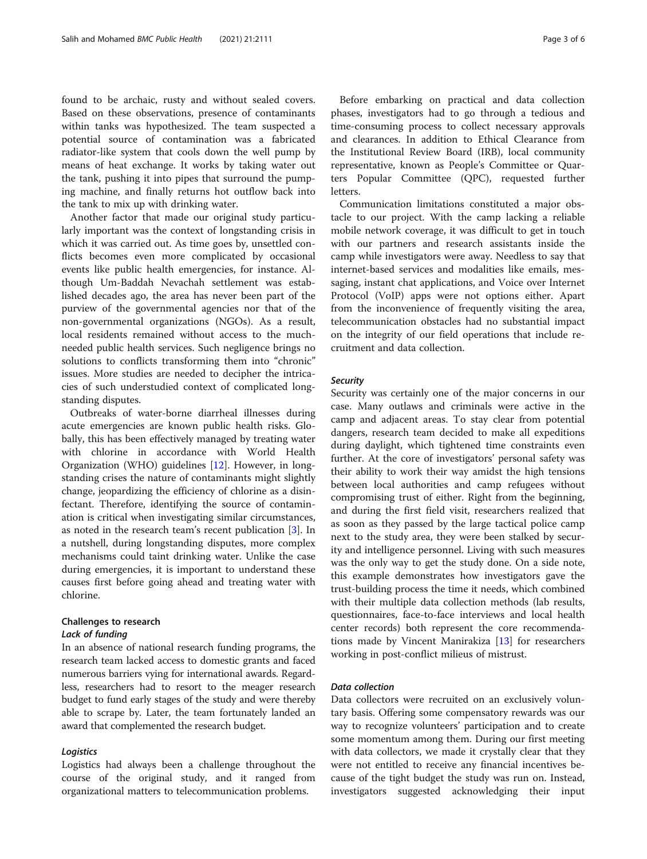found to be archaic, rusty and without sealed covers. Based on these observations, presence of contaminants within tanks was hypothesized. The team suspected a potential source of contamination was a fabricated radiator-like system that cools down the well pump by means of heat exchange. It works by taking water out the tank, pushing it into pipes that surround the pumping machine, and finally returns hot outflow back into the tank to mix up with drinking water.

Another factor that made our original study particularly important was the context of longstanding crisis in which it was carried out. As time goes by, unsettled conflicts becomes even more complicated by occasional events like public health emergencies, for instance. Although Um-Baddah Nevachah settlement was established decades ago, the area has never been part of the purview of the governmental agencies nor that of the non-governmental organizations (NGOs). As a result, local residents remained without access to the muchneeded public health services. Such negligence brings no solutions to conflicts transforming them into "chronic" issues. More studies are needed to decipher the intricacies of such understudied context of complicated longstanding disputes.

Outbreaks of water-borne diarrheal illnesses during acute emergencies are known public health risks. Globally, this has been effectively managed by treating water with chlorine in accordance with World Health Organization (WHO) guidelines [\[12](#page-5-0)]. However, in longstanding crises the nature of contaminants might slightly change, jeopardizing the efficiency of chlorine as a disinfectant. Therefore, identifying the source of contamination is critical when investigating similar circumstances, as noted in the research team's recent publication [\[3](#page-4-0)]. In a nutshell, during longstanding disputes, more complex mechanisms could taint drinking water. Unlike the case during emergencies, it is important to understand these causes first before going ahead and treating water with chlorine.

## Challenges to research

#### Lack of funding

In an absence of national research funding programs, the research team lacked access to domestic grants and faced numerous barriers vying for international awards. Regardless, researchers had to resort to the meager research budget to fund early stages of the study and were thereby able to scrape by. Later, the team fortunately landed an award that complemented the research budget.

#### Logistics

Logistics had always been a challenge throughout the course of the original study, and it ranged from organizational matters to telecommunication problems.

Before embarking on practical and data collection phases, investigators had to go through a tedious and time-consuming process to collect necessary approvals and clearances. In addition to Ethical Clearance from the Institutional Review Board (IRB), local community representative, known as People's Committee or Quarters Popular Committee (QPC), requested further letters.

Communication limitations constituted a major obstacle to our project. With the camp lacking a reliable mobile network coverage, it was difficult to get in touch with our partners and research assistants inside the camp while investigators were away. Needless to say that internet-based services and modalities like emails, messaging, instant chat applications, and Voice over Internet Protocol (VoIP) apps were not options either. Apart from the inconvenience of frequently visiting the area, telecommunication obstacles had no substantial impact on the integrity of our field operations that include recruitment and data collection.

#### Security

Security was certainly one of the major concerns in our case. Many outlaws and criminals were active in the camp and adjacent areas. To stay clear from potential dangers, research team decided to make all expeditions during daylight, which tightened time constraints even further. At the core of investigators' personal safety was their ability to work their way amidst the high tensions between local authorities and camp refugees without compromising trust of either. Right from the beginning, and during the first field visit, researchers realized that as soon as they passed by the large tactical police camp next to the study area, they were been stalked by security and intelligence personnel. Living with such measures was the only way to get the study done. On a side note, this example demonstrates how investigators gave the trust-building process the time it needs, which combined with their multiple data collection methods (lab results, questionnaires, face-to-face interviews and local health center records) both represent the core recommendations made by Vincent Manirakiza [\[13](#page-5-0)] for researchers working in post-conflict milieus of mistrust.

#### Data collection

Data collectors were recruited on an exclusively voluntary basis. Offering some compensatory rewards was our way to recognize volunteers' participation and to create some momentum among them. During our first meeting with data collectors, we made it crystally clear that they were not entitled to receive any financial incentives because of the tight budget the study was run on. Instead, investigators suggested acknowledging their input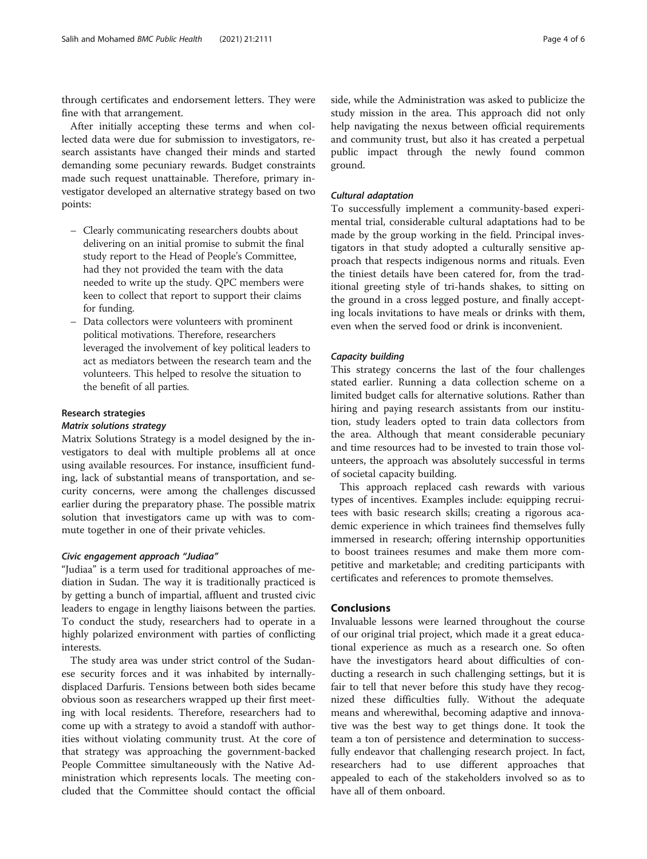through certificates and endorsement letters. They were fine with that arrangement.

After initially accepting these terms and when collected data were due for submission to investigators, research assistants have changed their minds and started demanding some pecuniary rewards. Budget constraints made such request unattainable. Therefore, primary investigator developed an alternative strategy based on two points:

- Clearly communicating researchers doubts about delivering on an initial promise to submit the final study report to the Head of People's Committee, had they not provided the team with the data needed to write up the study. QPC members were keen to collect that report to support their claims for funding.
- Data collectors were volunteers with prominent political motivations. Therefore, researchers leveraged the involvement of key political leaders to act as mediators between the research team and the volunteers. This helped to resolve the situation to the benefit of all parties.

#### Research strategies

#### Matrix solutions strategy

Matrix Solutions Strategy is a model designed by the investigators to deal with multiple problems all at once using available resources. For instance, insufficient funding, lack of substantial means of transportation, and security concerns, were among the challenges discussed earlier during the preparatory phase. The possible matrix solution that investigators came up with was to commute together in one of their private vehicles.

#### Civic engagement approach "Judiaa"

"Judiaa" is a term used for traditional approaches of mediation in Sudan. The way it is traditionally practiced is by getting a bunch of impartial, affluent and trusted civic leaders to engage in lengthy liaisons between the parties. To conduct the study, researchers had to operate in a highly polarized environment with parties of conflicting interests.

The study area was under strict control of the Sudanese security forces and it was inhabited by internallydisplaced Darfuris. Tensions between both sides became obvious soon as researchers wrapped up their first meeting with local residents. Therefore, researchers had to come up with a strategy to avoid a standoff with authorities without violating community trust. At the core of that strategy was approaching the government-backed People Committee simultaneously with the Native Administration which represents locals. The meeting concluded that the Committee should contact the official

side, while the Administration was asked to publicize the study mission in the area. This approach did not only help navigating the nexus between official requirements and community trust, but also it has created a perpetual public impact through the newly found common ground.

#### Cultural adaptation

To successfully implement a community-based experimental trial, considerable cultural adaptations had to be made by the group working in the field. Principal investigators in that study adopted a culturally sensitive approach that respects indigenous norms and rituals. Even the tiniest details have been catered for, from the traditional greeting style of tri-hands shakes, to sitting on the ground in a cross legged posture, and finally accepting locals invitations to have meals or drinks with them, even when the served food or drink is inconvenient.

#### Capacity building

This strategy concerns the last of the four challenges stated earlier. Running a data collection scheme on a limited budget calls for alternative solutions. Rather than hiring and paying research assistants from our institution, study leaders opted to train data collectors from the area. Although that meant considerable pecuniary and time resources had to be invested to train those volunteers, the approach was absolutely successful in terms of societal capacity building.

This approach replaced cash rewards with various types of incentives. Examples include: equipping recruitees with basic research skills; creating a rigorous academic experience in which trainees find themselves fully immersed in research; offering internship opportunities to boost trainees resumes and make them more competitive and marketable; and crediting participants with certificates and references to promote themselves.

#### Conclusions

Invaluable lessons were learned throughout the course of our original trial project, which made it a great educational experience as much as a research one. So often have the investigators heard about difficulties of conducting a research in such challenging settings, but it is fair to tell that never before this study have they recognized these difficulties fully. Without the adequate means and wherewithal, becoming adaptive and innovative was the best way to get things done. It took the team a ton of persistence and determination to successfully endeavor that challenging research project. In fact, researchers had to use different approaches that appealed to each of the stakeholders involved so as to have all of them onboard.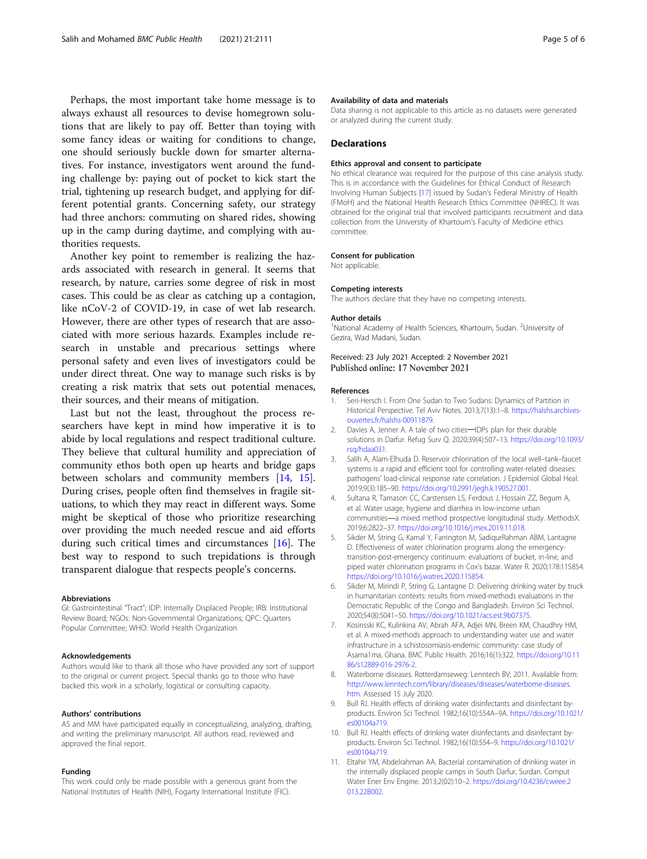<span id="page-4-0"></span>Perhaps, the most important take home message is to always exhaust all resources to devise homegrown solutions that are likely to pay off. Better than toying with some fancy ideas or waiting for conditions to change, one should seriously buckle down for smarter alternatives. For instance, investigators went around the funding challenge by: paying out of pocket to kick start the trial, tightening up research budget, and applying for different potential grants. Concerning safety, our strategy had three anchors: commuting on shared rides, showing up in the camp during daytime, and complying with authorities requests.

Another key point to remember is realizing the hazards associated with research in general. It seems that research, by nature, carries some degree of risk in most cases. This could be as clear as catching up a contagion, like nCoV-2 of COVID-19, in case of wet lab research. However, there are other types of research that are associated with more serious hazards. Examples include research in unstable and precarious settings where personal safety and even lives of investigators could be under direct threat. One way to manage such risks is by creating a risk matrix that sets out potential menaces, their sources, and their means of mitigation.

Last but not the least, throughout the process researchers have kept in mind how imperative it is to abide by local regulations and respect traditional culture. They believe that cultural humility and appreciation of community ethos both open up hearts and bridge gaps between scholars and community members [\[14](#page-5-0), [15](#page-5-0)]. During crises, people often find themselves in fragile situations, to which they may react in different ways. Some might be skeptical of those who prioritize researching over providing the much needed rescue and aid efforts during such critical times and circumstances [[16\]](#page-5-0). The best way to respond to such trepidations is through transparent dialogue that respects people's concerns.

#### Abbreviations

GI: Gastrointestinal "Tract"; IDP: Internally Displaced People; IRB: Institutional Review Board; NGOs: Non-Governmental Organizations; QPC: Quarters Popular Committee; WHO: World Health Organization

#### Acknowledgements

Authors would like to thank all those who have provided any sort of support to the original or current project. Special thanks go to those who have backed this work in a scholarly, logistical or consulting capacity.

#### Authors' contributions

AS and MM have participated equally in conceptualizing, analyzing, drafting, and writing the preliminary manuscript. All authors read, reviewed and approved the final report.

#### Funding

This work could only be made possible with a generous grant from the National Institutes of Health (NIH), Fogarty International Institute (FIC).

#### Availability of data and materials

Data sharing is not applicable to this article as no datasets were generated or analyzed during the current study.

#### **Declarations**

#### Ethics approval and consent to participate

No ethical clearance was required for the purpose of this case analysis study. This is in accordance with the Guidelines for Ethical Conduct of Research Involving Human Subjects [[17\]](#page-5-0) issued by Sudan's Federal Ministry of Health (FMoH) and the National Health Research Ethics Committee (NHREC). It was obtained for the original trial that involved participants recruitment and data collection from the University of Khartoum's Faculty of Medicine ethics committee.

#### Consent for publication

Not applicable.

#### Competing interests

The authors declare that they have no competing interests.

#### Author details

<sup>1</sup>National Academy of Health Sciences, Khartoum, Sudan. <sup>2</sup>University of Gezira, Wad Madani, Sudan.

Received: 23 July 2021 Accepted: 2 November 2021 Published online: 17 November 2021

#### References

- Seri-Hersch I. From One Sudan to Two Sudans: Dynamics of Partition in Historical Perspective. Tel Aviv Notes. 2013;7(13):1–8. [https://halshs.archives](https://halshs.archives-ouvertes.fr/halshs-00911879)[ouvertes.fr/halshs-00911879](https://halshs.archives-ouvertes.fr/halshs-00911879).
- 2. Davies A, Jenner A. A tale of two cities-IDPs plan for their durable solutions in Darfur. Refug Surv Q. 2020;39(4):507–13. [https://doi.org/10.1093/](https://doi.org/10.1093/rsq/hdaa031) [rsq/hdaa031.](https://doi.org/10.1093/rsq/hdaa031)
- 3. Salih A, Alam-Elhuda D. Reservoir chlorination of the local well–tank–faucet systems is a rapid and efficient tool for controlling water-related diseases: pathogens' load-clinical response rate correlation. J Epidemiol Global Heal. 2019;9(3):185–90. <https://doi.org/10.2991/jegh.k.190527.001>.
- 4. Sultana R, Tamason CC, Carstensen LS, Ferdous J, Hossain ZZ, Begum A, et al. Water usage, hygiene and diarrhea in low-income urban communities―a mixed method prospective longitudinal study. MethodsX. 2019;6:2822–37. [https://doi.org/10.1016/j.mex.2019.11.018.](https://doi.org/10.1016/j.mex.2019.11.018)
- 5. Sikder M, String G, Kamal Y, Farrington M, SadiqurRahman ABM, Lantagne D. Effectiveness of water chlorination programs along the emergencytransition-post-emergency continuum: evaluations of bucket, in-line, and piped water chlorination programs in Cox's bazar. Water R. 2020;178:115854. [https://doi.org/10.1016/j.watres.2020.115854.](https://doi.org/10.1016/j.watres.2020.115854)
- 6. Sikder M, Mirindi P, String G, Lantagne D. Delivering drinking water by truck in humanitarian contexts: results from mixed-methods evaluations in the Democratic Republic of the Congo and Bangladesh. Environ Sci Technol. 2020;54(8):5041–50. <https://doi.org/10.1021/acs.est.9b07375>.
- 7. Kosinsski KC, Kulinkina AV, Abrah AFA, Adjei MN, Breen KM, Chaudhry HM, et al. A mixed-methods approach to understanding water use and water infrastructure in a schistosomiasis-endemic community: case study of Asama1ma, Ghana. BMC Public Health. 2016;16(1):322. [https://doi.org/10.11](https://doi.org/10.1186/s12889-016-2976-2) [86/s12889-016-2976-2](https://doi.org/10.1186/s12889-016-2976-2).
- 8. Waterborne diseases. Rotterdamseweg: Lenntech BV; 2011. Available from: [http://www.lenntech.com/library/diseases/diseases/waterborne-diseases.](http://www.lenntech.com/library/diseases/diseases/waterborne-diseases.htm) [htm](http://www.lenntech.com/library/diseases/diseases/waterborne-diseases.htm). Assessed 15 July 2020.
- Bull RJ. Health effects of drinking water disinfectants and disinfectant byproducts. Environ Sci Technol. 1982;16(10):554A–9A. [https://doi.org/10.1021/](https://doi.org/10.1021/es00104a719) [es00104a719](https://doi.org/10.1021/es00104a719).
- 10. Bull RJ. Health effects of drinking water disinfectants and disinfectant byproducts. Environ Sci Technol. 1982;16(10):554–9. [https://doi.org/10.1021/](https://doi.org/10.1021/es00104a719) [es00104a719](https://doi.org/10.1021/es00104a719).
- 11. Eltahir YM, Abdelrahman AA. Bacterial contamination of drinking water in the internally displaced people camps in South Darfur, Surdan. Comput Water Ener Env Engine. 2013;2(02):10–2. [https://doi.org/10.4236/cweee.2](https://doi.org/10.4236/cweee.2013.22B002) [013.22B002.](https://doi.org/10.4236/cweee.2013.22B002)